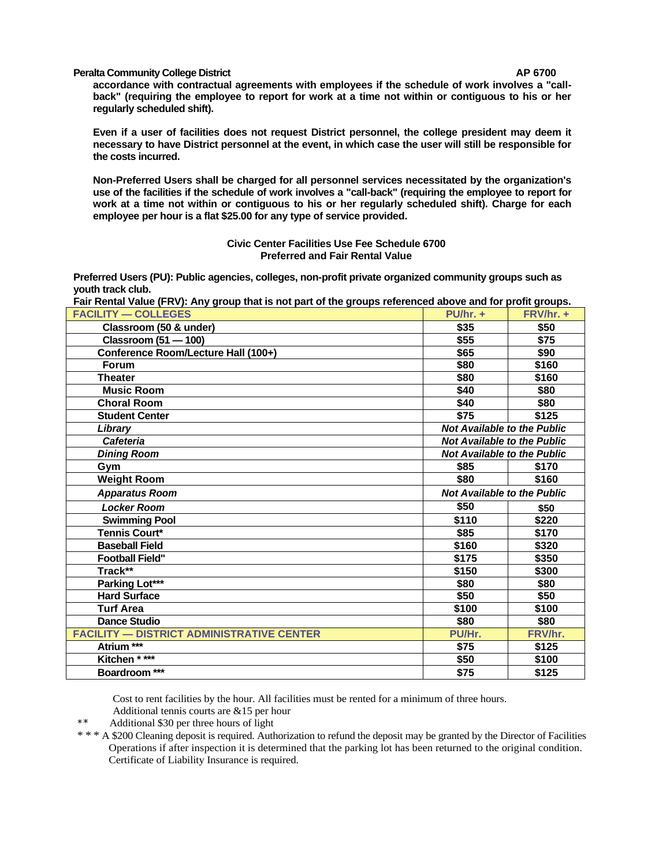## **Peralta Community College District AP 6700**

**accordance with contractual agreements with employees if the schedule of work involves a "callback" (requiring the employee to report for work at a time not within or contiguous to his or her regularly scheduled shift).**

**Even if a user of facilities does not request District personnel, the college president may deem it necessary to have District personnel at the event, in which case the user will still be responsible for the costs incurred.**

**Non-Preferred Users shall be charged for all personnel services necessitated by the organization's use of the facilities if the schedule of work involves a "call-back" (requiring the employee to report for work at a time not within or contiguous to his or her regularly scheduled shift). Charge for each employee per hour is a flat \$25.00 for any type of service provided.**

> **Civic Center Facilities Use Fee Schedule 6700 Preferred and Fair Rental Value**

**Preferred Users (PU): Public agencies, colleges, non-profit private organized community groups such as youth track club.**

**Fair Rental Value (FRV): Any group that is not part of the groups referenced above and for profit groups.**

| <b>FACILITY — COLLEGES</b>                       | $PU/hr. +$                         | FRV/hr. + |
|--------------------------------------------------|------------------------------------|-----------|
| Classroom (50 & under)                           | \$35                               | \$50      |
| Classroom (51 - 100)                             | \$55                               | \$75      |
| Conference Room/Lecture Hall (100+)              | \$65                               | \$90      |
| Forum                                            | \$80                               | \$160     |
| <b>Theater</b>                                   | \$80                               | \$160     |
| <b>Music Room</b>                                | \$40                               | \$80      |
| <b>Choral Room</b>                               | \$40                               | \$80      |
| <b>Student Center</b>                            | \$75                               | \$125     |
| Library                                          | <b>Not Available to the Public</b> |           |
| <b>Cafeteria</b>                                 | <b>Not Available to the Public</b> |           |
| <b>Dining Room</b>                               | <b>Not Available to the Public</b> |           |
| Gym                                              | \$85                               | \$170     |
| <b>Weight Room</b>                               | \$80                               | \$160     |
| <b>Apparatus Room</b>                            | <b>Not Available to the Public</b> |           |
| <b>Locker Room</b>                               | \$50                               | \$50      |
| <b>Swimming Pool</b>                             | \$110                              | \$220     |
| <b>Tennis Court*</b>                             | \$85                               | \$170     |
| <b>Baseball Field</b>                            | \$160                              | \$320     |
| <b>Football Field"</b>                           | \$175                              | \$350     |
| Track**                                          | \$150                              | \$300     |
| Parking Lot***                                   | \$80                               | \$80      |
| <b>Hard Surface</b>                              | \$50                               | \$50      |
| <b>Turf Area</b>                                 | \$100                              | \$100     |
| <b>Dance Studio</b>                              | \$80                               | \$80      |
| <b>FACILITY - DISTRICT ADMINISTRATIVE CENTER</b> | PU/Hr.                             | FRV/hr.   |
| Atrium ***                                       | \$75                               | \$125     |
| Kitchen * ***                                    | \$50                               | \$100     |
| Boardroom ***                                    | \$75                               | \$125     |

Cost to rent facilities by the hour. All facilities must be rented for a minimum of three hours. Additional tennis courts are &15 per hour

Additional \$30 per three hours of light

\* \* \* A \$200 Cleaning deposit is required. Authorization to refund the deposit may be granted by the Director of Facilities Operations if after inspection it is determined that the parking lot has been returned to the original condition. Certificate of Liability Insurance is required.